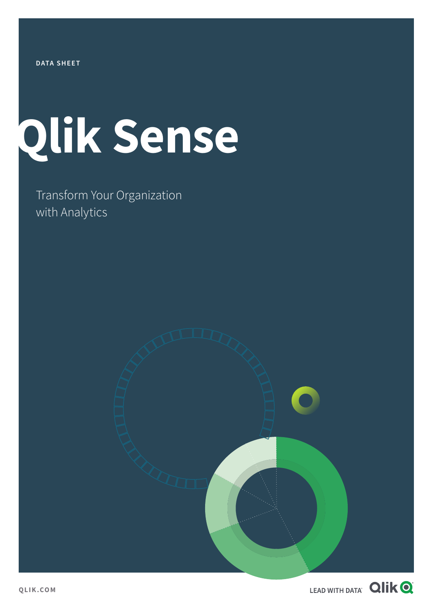# **Qlik Sense**

Transform Your Organization with Analytics

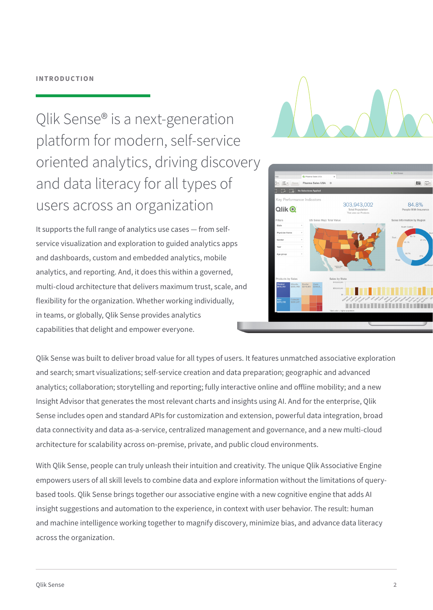### **INTRODUCTION**

Qlik Sense® is a next-generation platform for modern, self-service oriented analytics, driving discovery and data literacy for all types of users across an organization

It supports the full range of analytics use cases — from selfservice visualization and exploration to guided analytics apps and dashboards, custom and embedded analytics, mobile analytics, and reporting. And, it does this within a governed, multi-cloud architecture that delivers maximum trust, scale, and flexibility for the organization. Whether working individually, in teams, or globally, Qlik Sense provides analytics capabilities that delight and empower everyone.





Qlik Sense was built to deliver broad value for all types of users. It features unmatched associative exploration and search; smart visualizations; self-service creation and data preparation; geographic and advanced analytics; collaboration; storytelling and reporting; fully interactive online and offline mobility; and a new Insight Advisor that generates the most relevant charts and insights using AI. And for the enterprise, Qlik Sense includes open and standard APIs for customization and extension, powerful data integration, broad data connectivity and data as-a-service, centralized management and governance, and a new multi-cloud architecture for scalability across on-premise, private, and public cloud environments.

With Qlik Sense, people can truly unleash their intuition and creativity. The unique Qlik Associative Engine empowers users of all skill levels to combine data and explore information without the limitations of querybased tools. Qlik Sense brings together our associative engine with a new cognitive engine that adds AI insight suggestions and automation to the experience, in context with user behavior. The result: human and machine intelligence working together to magnify discovery, minimize bias, and advance data literacy across the organization.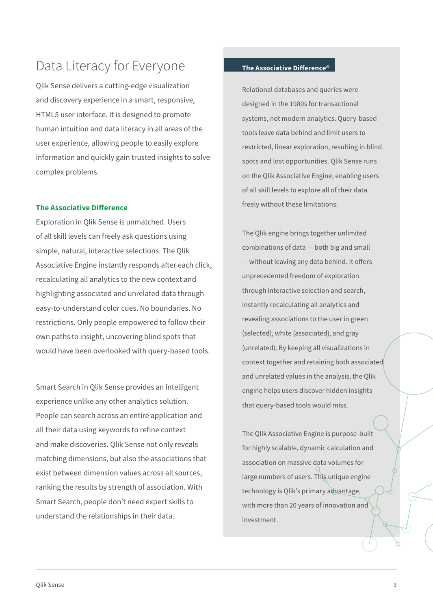### Data Literacy for Everyone

Qlik Sense delivers a cutting-edge visualization and discovery experience in a smart, responsive, HTML5 user interface. It is designed to promote human intuition and data literacy in all areas of the user experience, allowing people to easily explore information and quickly gain trusted insights to solve complex problems.

### **The Associative Difference**

Exploration in Qlik Sense is unmatched. Users of all skill levels can freely ask questions using simple, natural, interactive selections. The Qlik Associative Engine instantly responds after each click, recalculating all analytics to the new context and highlighting associated and unrelated data through easy-to-understand color cues. No boundaries. No restrictions. Only people empowered to follow their own paths to insight, uncovering blind spots that would have been overlooked with query-based tools.

Smart Search in Qlik Sense provides an intelligent experience unlike any other analytics solution. People can search across an entire application and all their data using keywords to refine context and make discoveries. Qlik Sense not only reveals matching dimensions, but also the associations that exist between dimension values across all sources, ranking the results by strength of association. With Smart Search, people don't need expert skills to understand the relationships in their data.

### **The Associative Difference®**

Relational databases and queries were designed in the 1980s for transactional systems, not modern analytics. Query-based tools leave data behind and limit users to restricted, linear exploration, resulting in blind spots and lost opportunities. Qlik Sense runs on the Qlik Associative Engine, enabling users of all skill levels to explore all of their data freely without these limitations.

The Qlik engine brings together unlimited combinations of data — both big and small — without leaving any data behind. It offers unprecedented freedom of exploration through interactive selection and search, instantly recalculating all analytics and revealing associations to the user in green (selected), white (associated), and gray (unrelated). By keeping all visualizations in context together and retaining both associated and unrelated values in the analysis, the Qlik engine helps users discover hidden insights that query-based tools would miss.

The Qlik Associative Engine is purpose-built for highly scalable, dynamic calculation and association on massive data volumes for large numbers of users. This unique engine technology is Qlik's primary advantage, with more than 20 years of innovation and investment.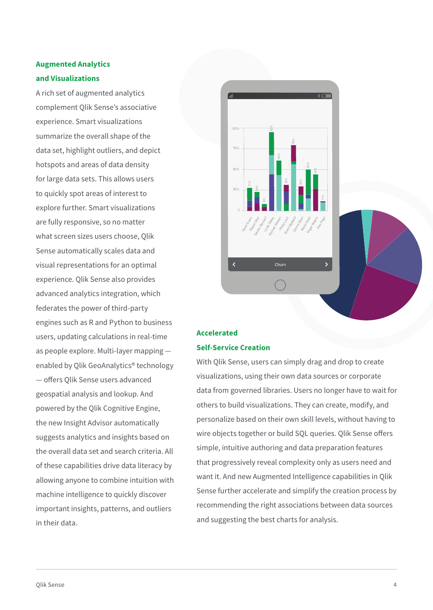### **Augmented Analytics and Visualizations**

A rich set of augmented analytics complement Qlik Sense's associative experience. Smart visualizations summarize the overall shape of the data set, highlight outliers, and depict hotspots and areas of data density for large data sets. This allows users to quickly spot areas of interest to explore further. Smart visualizations are fully responsive, so no matter what screen sizes users choose, Qlik Sense automatically scales data and visual representations for an optimal experience. Qlik Sense also provides advanced analytics integration, which federates the power of third-party engines such as R and Python to business users, updating calculations in real-time as people explore. Multi-layer mapping enabled by Qlik GeoAnalytics® technology — offers Qlik Sense users advanced geospatial analysis and lookup. And powered by the Qlik Cognitive Engine, the new Insight Advisor automatically suggests analytics and insights based on the overall data set and search criteria. All of these capabilities drive data literacy by allowing anyone to combine intuition with machine intelligence to quickly discover important insights, patterns, and outliers in their data.



### **Accelerated Self-Service Creation**

With Qlik Sense, users can simply drag and drop to create visualizations, using their own data sources or corporate data from governed libraries. Users no longer have to wait for others to build visualizations. They can create, modify, and personalize based on their own skill levels, without having to wire objects together or build SQL queries. Qlik Sense offers simple, intuitive authoring and data preparation features that progressively reveal complexity only as users need and want it. And new Augmented Intelligence capabilities in Qlik Sense further accelerate and simplify the creation process by recommending the right associations between data sources and suggesting the best charts for analysis.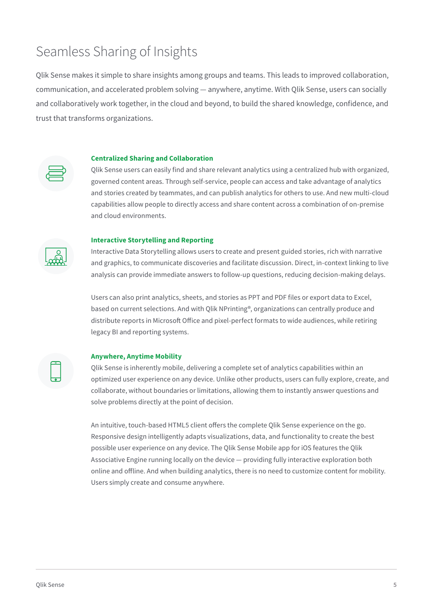### Seamless Sharing of Insights

Qlik Sense makes it simple to share insights among groups and teams. This leads to improved collaboration, communication, and accelerated problem solving — anywhere, anytime. With Qlik Sense, users can socially and collaboratively work together, in the cloud and beyond, to build the shared knowledge, confidence, and trust that transforms organizations.

#### **Centralized Sharing and Collaboration**

Qlik Sense users can easily find and share relevant analytics using a centralized hub with organized, governed content areas. Through self-service, people can access and take advantage of analytics and stories created by teammates, and can publish analytics for others to use. And new multi-cloud capabilities allow people to directly access and share content across a combination of on-premise and cloud environments.

#### **Interactive Storytelling and Reporting**

Interactive Data Storytelling allows users to create and present guided stories, rich with narrative and graphics, to communicate discoveries and facilitate discussion. Direct, in-context linking to live analysis can provide immediate answers to follow-up questions, reducing decision-making delays.

Users can also print analytics, sheets, and stories as PPT and PDF files or export data to Excel, based on current selections. And with Qlik NPrinting®, organizations can centrally produce and distribute reports in Microsoft Office and pixel-perfect formats to wide audiences, while retiring legacy BI and reporting systems.

#### **Anywhere, Anytime Mobility**

Qlik Sense is inherently mobile, delivering a complete set of analytics capabilities within an optimized user experience on any device. Unlike other products, users can fully explore, create, and collaborate, without boundaries or limitations, allowing them to instantly answer questions and solve problems directly at the point of decision.

An intuitive, touch-based HTML5 client offers the complete Qlik Sense experience on the go. Responsive design intelligently adapts visualizations, data, and functionality to create the best possible user experience on any device. The Qlik Sense Mobile app for iOS features the Qlik Associative Engine running locally on the device — providing fully interactive exploration both online and offline. And when building analytics, there is no need to customize content for mobility. Users simply create and consume anywhere.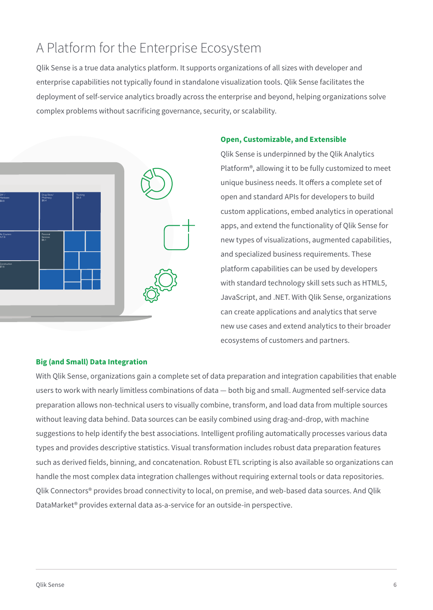### A Platform for the Enterprise Ecosystem

Qlik Sense is a true data analytics platform. It supports organizations of all sizes with developer and enterprise capabilities not typically found in standalone visualization tools. Qlik Sense facilitates the deployment of self-service analytics broadly across the enterprise and beyond, helping organizations solve complex problems without sacrificing governance, security, or scalability.



### **Open, Customizable, and Extensible**

Qlik Sense is underpinned by the Qlik Analytics Platform®, allowing it to be fully customized to meet unique business needs. It offers a complete set of open and standard APIs for developers to build custom applications, embed analytics in operational apps, and extend the functionality of Qlik Sense for new types of visualizations, augmented capabilities, and specialized business requirements. These platform capabilities can be used by developers with standard technology skill sets such as HTML5, JavaScript, and .NET. With Qlik Sense, organizations can create applications and analytics that serve new use cases and extend analytics to their broader ecosystems of customers and partners.

### **Big (and Small) Data Integration**

With Qlik Sense, organizations gain a complete set of data preparation and integration capabilities that enable users to work with nearly limitless combinations of data — both big and small. Augmented self-service data preparation allows non-technical users to visually combine, transform, and load data from multiple sources without leaving data behind. Data sources can be easily combined using drag-and-drop, with machine suggestions to help identify the best associations. Intelligent profiling automatically processes various data types and provides descriptive statistics. Visual transformation includes robust data preparation features such as derived fields, binning, and concatenation. Robust ETL scripting is also available so organizations can handle the most complex data integration challenges without requiring external tools or data repositories. Qlik Connectors® provides broad connectivity to local, on premise, and web-based data sources. And Qlik DataMarket® provides external data as-a-service for an outside-in perspective.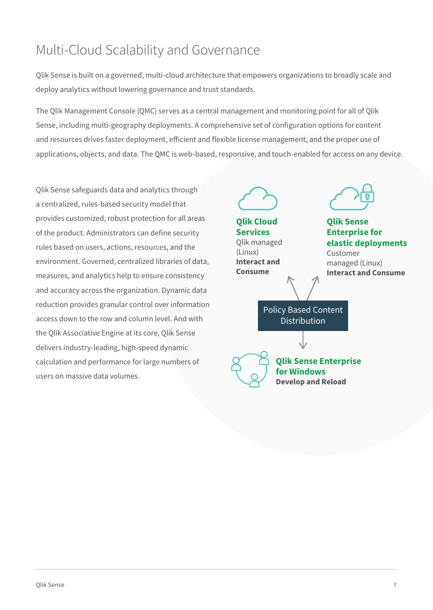### Multi-Cloud Scalability and Governance

Qlik Sense is built on a governed, multi-cloud architecture that empowers organizations to broadly scale and deploy analytics without lowering governance and trust standards.

The Qlik Management Console (QMC) serves as a central management and monitoring point for all of Qlik Sense, including multi-geography deployments. A comprehensive set of configuration options for content and resources drives faster deployment, efficient and flexible license management, and the proper use of applications, objects, and data. The QMC is web-based, responsive, and touch-enabled for access on any device.

Qlik Sense safeguards data and analytics through a centralized, rules-based security model that provides customized, robust protection for all areas of the product. Administrators can define security rules based on users, actions, resources, and the environment. Governed, centralized libraries of data, measures, and analytics help to ensure consistency and accuracy across the organization. Dynamic data reduction provides granular control over information access down to the row and column level. And with the Qlik Associative Engine at its core, Qlik Sense delivers industry-leading, high-speed dynamic calculation and performance for large numbers of users on massive data volumes.



**Qlik Cloud Services** Qlik managed (Linux) **Interact and Consume**



**Qlik Sense Enterprise for elastic deployments** Customer

managed (Linux) **Interact and Consume**

Policy Based Content **Distribution** 

**Qlik Sense Enterprise for Windows Develop and Reload**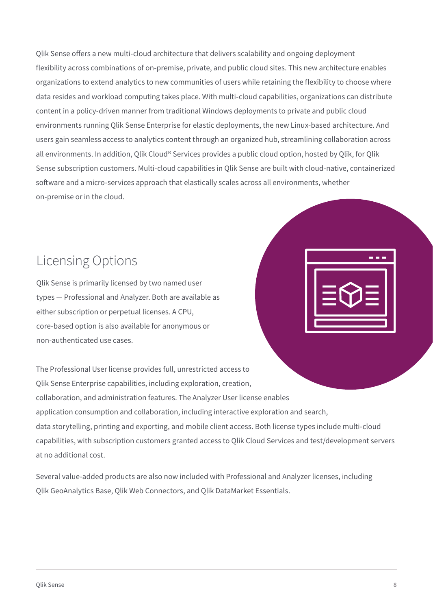Qlik Sense offers a new multi-cloud architecture that delivers scalability and ongoing deployment flexibility across combinations of on-premise, private, and public cloud sites. This new architecture enables organizations to extend analytics to new communities of users while retaining the flexibility to choose where data resides and workload computing takes place. With multi-cloud capabilities, organizations can distribute content in a policy-driven manner from traditional Windows deployments to private and public cloud environments running Qlik Sense Enterprise for elastic deployments, the new Linux-based architecture. And users gain seamless access to analytics content through an organized hub, streamlining collaboration across all environments. In addition, Qlik Cloud® Services provides a public cloud option, hosted by Qlik, for Qlik Sense subscription customers. Multi-cloud capabilities in Qlik Sense are built with cloud-native, containerized software and a micro-services approach that elastically scales across all environments, whether on-premise or in the cloud.

### Licensing Options

Qlik Sense is primarily licensed by two named user types — Professional and Analyzer. Both are available as either subscription or perpetual licenses. A CPU, core-based option is also available for anonymous or non-authenticated use cases.

The Professional User license provides full, unrestricted access to Qlik Sense Enterprise capabilities, including exploration, creation, collaboration, and administration features. The Analyzer User license enables application consumption and collaboration, including interactive exploration and search, data storytelling, printing and exporting, and mobile client access. Both license types include multi-cloud capabilities, with subscription customers granted access to Qlik Cloud Services and test/development servers at no additional cost.

Several value-added products are also now included with Professional and Analyzer licenses, including Qlik GeoAnalytics Base, Qlik Web Connectors, and Qlik DataMarket Essentials.

a a s